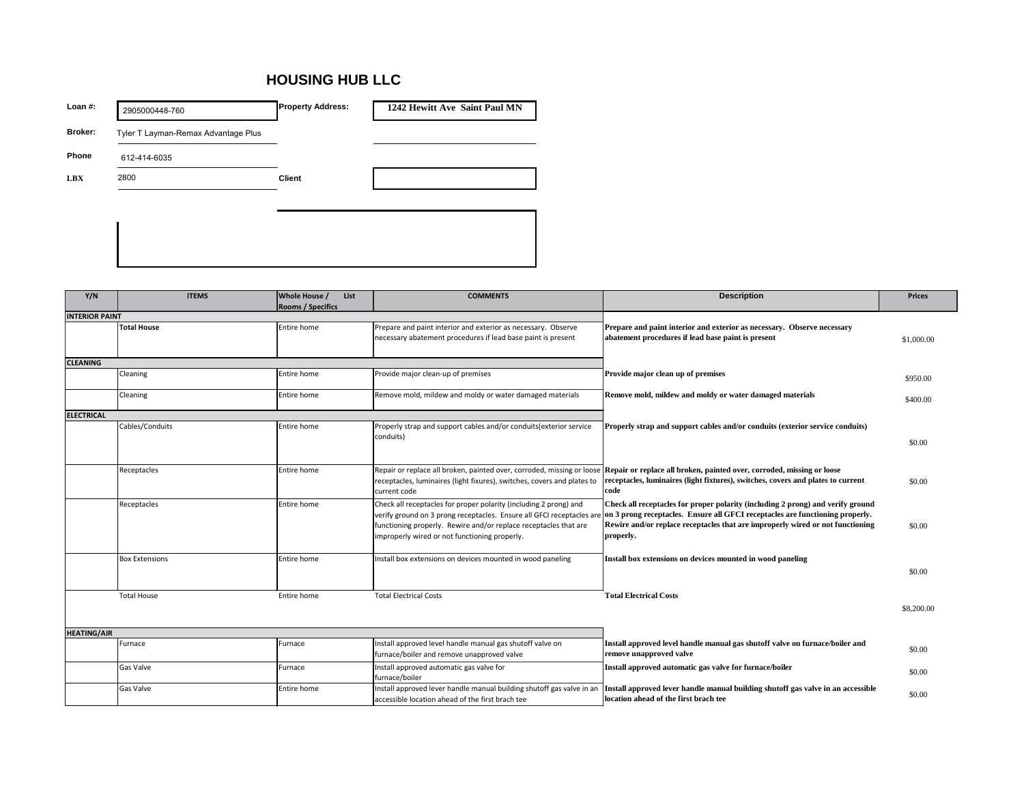| Loan #:        | 2905000448-760                      | <b>Property Address:</b> | 1242 Hewitt Ave Saint Paul MN |
|----------------|-------------------------------------|--------------------------|-------------------------------|
| <b>Broker:</b> | Tyler T Layman-Remax Advantage Plus |                          |                               |
| Phone          | 612-414-6035                        |                          |                               |
| <b>LBX</b>     | 2800                                | <b>Client</b>            |                               |
|                |                                     |                          |                               |
|                |                                     |                          |                               |
|                |                                     |                          |                               |
|                |                                     |                          |                               |

| Y/N                   | <b>ITEMS</b>          | <b>Whole House /</b><br>List<br><b>Rooms / Specifics</b> | <b>COMMENTS</b>                                                                                                                                                                                                                                                 | <b>Description</b>                                                                                                                                                                                                                                              | <b>Prices</b> |
|-----------------------|-----------------------|----------------------------------------------------------|-----------------------------------------------------------------------------------------------------------------------------------------------------------------------------------------------------------------------------------------------------------------|-----------------------------------------------------------------------------------------------------------------------------------------------------------------------------------------------------------------------------------------------------------------|---------------|
| <b>INTERIOR PAINT</b> |                       |                                                          |                                                                                                                                                                                                                                                                 |                                                                                                                                                                                                                                                                 |               |
|                       | <b>Total House</b>    | Entire home                                              | Prepare and paint interior and exterior as necessary. Observe<br>necessary abatement procedures if lead base paint is present                                                                                                                                   | Prepare and paint interior and exterior as necessary. Observe necessary<br>abatement procedures if lead base paint is present                                                                                                                                   | \$1,000.00    |
| <b>CLEANING</b>       |                       |                                                          |                                                                                                                                                                                                                                                                 |                                                                                                                                                                                                                                                                 |               |
|                       | Cleaning              | Entire home                                              | Provide major clean-up of premises                                                                                                                                                                                                                              | Provide major clean up of premises                                                                                                                                                                                                                              | \$950.00      |
|                       | Cleaning              | Entire home                                              | Remove mold, mildew and moldy or water damaged materials                                                                                                                                                                                                        | Remove mold, mildew and moldy or water damaged materials                                                                                                                                                                                                        | \$400.00      |
| <b>ELECTRICAL</b>     |                       |                                                          |                                                                                                                                                                                                                                                                 |                                                                                                                                                                                                                                                                 |               |
|                       | Cables/Conduits       | Entire home                                              | Properly strap and support cables and/or conduits(exterior service<br>conduits)                                                                                                                                                                                 | Properly strap and support cables and/or conduits (exterior service conduits)                                                                                                                                                                                   | \$0.00        |
|                       | Receptacles           | Entire home                                              | Repair or replace all broken, painted over, corroded, missing or loose<br>receptacles, luminaires (light fixures), switches, covers and plates to<br>current code                                                                                               | Repair or replace all broken, painted over, corroded, missing or loose<br>receptacles, luminaires (light fixtures), switches, covers and plates to current<br> code                                                                                             | \$0.00        |
|                       | Receptacles           | Entire home                                              | Check all receptacles for proper polarity (including 2 prong) and<br>verify ground on 3 prong receptacles. Ensure all GFCI receptacles are<br>functioning properly. Rewire and/or replace receptacles that are<br>improperly wired or not functioning properly. | Check all receptacles for proper polarity (including 2 prong) and verify ground<br>on 3 prong receptacles. Ensure all GFCI receptacles are functioning properly.<br>Rewire and/or replace receptacles that are improperly wired or not functioning<br>properly. | \$0.00        |
|                       | <b>Box Extensions</b> | Entire home                                              | Install box extensions on devices mounted in wood paneling                                                                                                                                                                                                      | Install box extensions on devices mounted in wood paneling                                                                                                                                                                                                      | \$0.00        |
|                       | <b>Total House</b>    | Entire home                                              | <b>Total Electrical Costs</b>                                                                                                                                                                                                                                   | <b>Total Electrical Costs</b>                                                                                                                                                                                                                                   | \$8,200.00    |
|                       |                       |                                                          |                                                                                                                                                                                                                                                                 |                                                                                                                                                                                                                                                                 |               |
| <b>HEATING/AIR</b>    | Furnace               | Furnace                                                  | Install approved level handle manual gas shutoff valve on<br>furnace/boiler and remove unapproved valve                                                                                                                                                         | Install approved level handle manual gas shutoff valve on furnace/boiler and<br>remove unapproved valve                                                                                                                                                         | \$0.00        |
|                       | Gas Valve             | Furnace                                                  | nstall approved automatic gas valve for<br>furnace/boiler                                                                                                                                                                                                       | Install approved automatic gas valve for furnace/boiler                                                                                                                                                                                                         | \$0.00        |
|                       | <b>Gas Valve</b>      | Entire home                                              | Install approved lever handle manual building shutoff gas valve in an<br>accessible location ahead of the first brach tee                                                                                                                                       | Install approved lever handle manual building shutoff gas valve in an accessible<br>location ahead of the first brach tee                                                                                                                                       | \$0.00        |

## **HOUSING HUB LLC**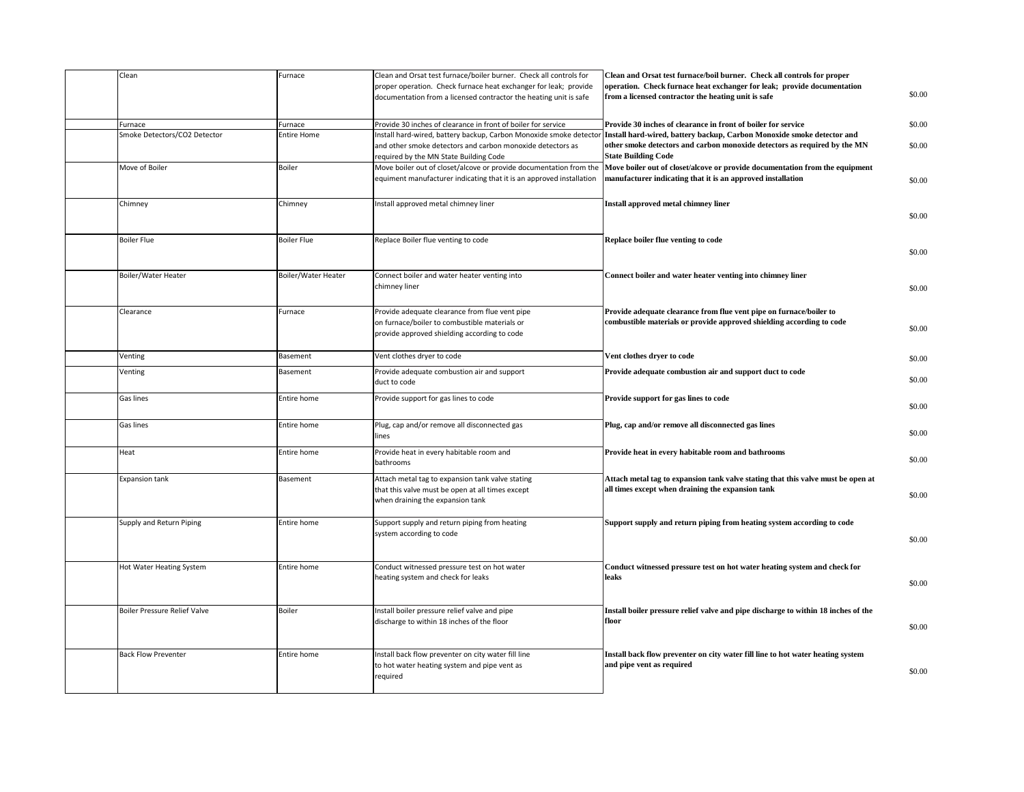| Clean                               | Furnace             | Clean and Orsat test furnace/boiler burner. Check all controls for<br>proper operation. Check furnace heat exchanger for leak; provide<br>documentation from a licensed contractor the heating unit is safe | Clean and Orsat test furnace/boil burner. Check all controls for proper<br>operation. Check furnace heat exchanger for leak; provide documentation<br>from a licensed contractor the heating unit is safe | \$0.00 |
|-------------------------------------|---------------------|-------------------------------------------------------------------------------------------------------------------------------------------------------------------------------------------------------------|-----------------------------------------------------------------------------------------------------------------------------------------------------------------------------------------------------------|--------|
| Furnace                             | Furnace             | Provide 30 inches of clearance in front of boiler for service                                                                                                                                               | Provide 30 inches of clearance in front of boiler for service                                                                                                                                             | \$0.00 |
| Smoke Detectors/CO2 Detector        | <b>Entire Home</b>  | Install hard-wired, battery backup, Carbon Monoxide smoke detector<br>and other smoke detectors and carbon monoxide detectors as                                                                            | Install hard-wired, battery backup, Carbon Monoxide smoke detector and<br>other smoke detectors and carbon monoxide detectors as required by the MN<br><b>State Building Code</b>                         | \$0.00 |
| Move of Boiler                      | Boiler              | required by the MN State Building Code<br>Move boiler out of closet/alcove or provide documentation from the<br>equiment manufacturer indicating that it is an approved installation                        | Move boiler out of closet/alcove or provide documentation from the equipment<br>manufacturer indicating that it is an approved installation                                                               | \$0.00 |
| Chimney                             | Chimney             | Install approved metal chimney liner                                                                                                                                                                        | Install approved metal chimney liner                                                                                                                                                                      | \$0.00 |
| <b>Boiler Flue</b>                  | <b>Boiler Flue</b>  | Replace Boiler flue venting to code                                                                                                                                                                         | Replace boiler flue venting to code                                                                                                                                                                       | \$0.00 |
| <b>Boiler/Water Heater</b>          | Boiler/Water Heater | Connect boiler and water heater venting into<br>chimney liner                                                                                                                                               | Connect boiler and water heater venting into chimney liner                                                                                                                                                | \$0.00 |
| Clearance                           | Furnace             | Provide adequate clearance from flue vent pipe<br>on furnace/boiler to combustible materials or<br>provide approved shielding according to code                                                             | Provide adequate clearance from flue vent pipe on furnace/boiler to<br>combustible materials or provide approved shielding according to code                                                              | \$0.00 |
| Venting                             | Basement            | Vent clothes dryer to code                                                                                                                                                                                  | Vent clothes dryer to code                                                                                                                                                                                | \$0.00 |
| Venting                             | Basement            | Provide adequate combustion air and support<br>duct to code                                                                                                                                                 | Provide adequate combustion air and support duct to code                                                                                                                                                  | \$0.00 |
| Gas lines                           | Entire home         | Provide support for gas lines to code                                                                                                                                                                       | Provide support for gas lines to code                                                                                                                                                                     | \$0.00 |
| Gas lines                           | Entire home         | Plug, cap and/or remove all disconnected gas<br>lines                                                                                                                                                       | Plug, cap and/or remove all disconnected gas lines                                                                                                                                                        | \$0.00 |
| Heat                                | Entire home         | Provide heat in every habitable room and<br>bathrooms                                                                                                                                                       | Provide heat in every habitable room and bathrooms                                                                                                                                                        | \$0.00 |
| <b>Expansion tank</b>               | Basement            | Attach metal tag to expansion tank valve stating<br>that this valve must be open at all times except<br>when draining the expansion tank                                                                    | Attach metal tag to expansion tank valve stating that this valve must be open at<br>all times except when draining the expansion tank                                                                     | \$0.00 |
| Supply and Return Piping            | Entire home         | Support supply and return piping from heating<br>system according to code                                                                                                                                   | Support supply and return piping from heating system according to code                                                                                                                                    | \$0.00 |
| Hot Water Heating System            | Entire home         | Conduct witnessed pressure test on hot water<br>heating system and check for leaks                                                                                                                          | Conduct witnessed pressure test on hot water heating system and check for<br>leaks                                                                                                                        | \$0.00 |
| <b>Boiler Pressure Relief Valve</b> | <b>Boiler</b>       | Install boiler pressure relief valve and pipe<br>discharge to within 18 inches of the floor                                                                                                                 | Install boiler pressure relief valve and pipe discharge to within 18 inches of the<br> floor                                                                                                              | \$0.00 |
| <b>Back Flow Preventer</b>          | Entire home         | Install back flow preventer on city water fill line<br>to hot water heating system and pipe vent as<br>required                                                                                             | Install back flow preventer on city water fill line to hot water heating system<br>and pipe vent as required                                                                                              | \$0.00 |
|                                     |                     |                                                                                                                                                                                                             |                                                                                                                                                                                                           |        |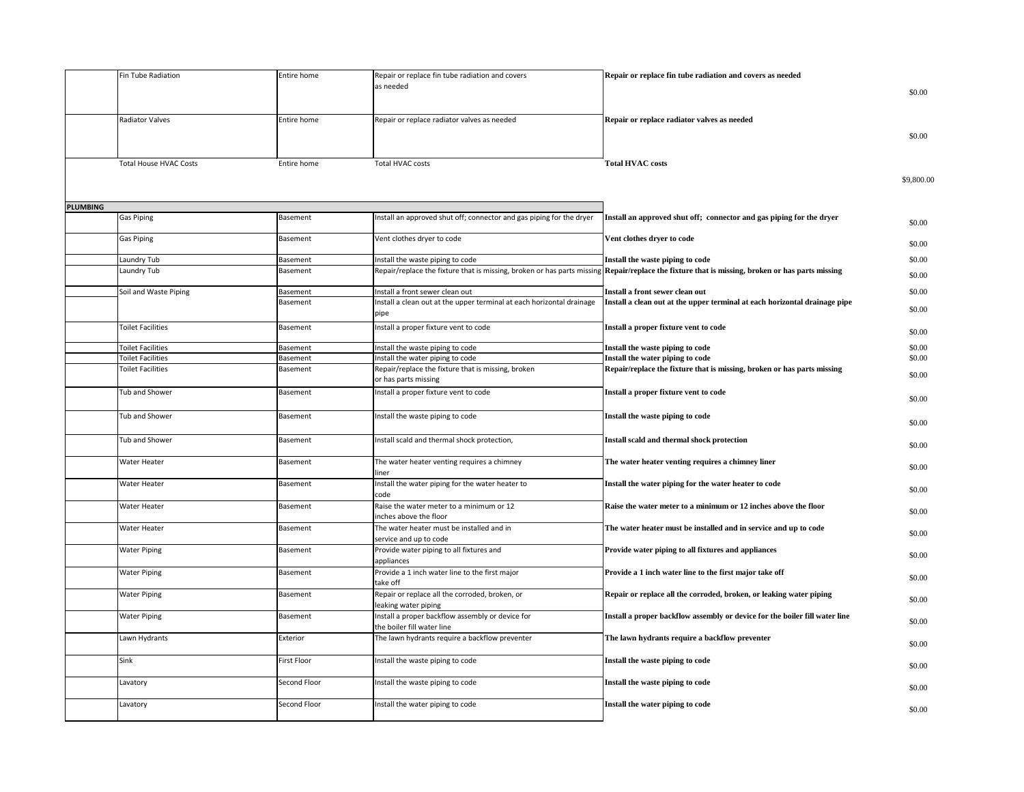|                 | Fin Tube Radiation            | Entire home        | Repair or replace fin tube radiation and covers                                | Repair or replace fin tube radiation and covers as needed                                                                                       |           |
|-----------------|-------------------------------|--------------------|--------------------------------------------------------------------------------|-------------------------------------------------------------------------------------------------------------------------------------------------|-----------|
|                 |                               |                    | as needed                                                                      |                                                                                                                                                 | \$0.00    |
|                 |                               |                    |                                                                                |                                                                                                                                                 |           |
|                 | <b>Radiator Valves</b>        | Entire home        | Repair or replace radiator valves as needed                                    | Repair or replace radiator valves as needed                                                                                                     |           |
|                 |                               |                    |                                                                                |                                                                                                                                                 |           |
|                 |                               |                    |                                                                                |                                                                                                                                                 | \$0.00    |
|                 |                               |                    |                                                                                |                                                                                                                                                 |           |
|                 | <b>Total House HVAC Costs</b> | Entire home        | <b>Total HVAC costs</b>                                                        | <b>Total HVAC costs</b>                                                                                                                         |           |
|                 |                               |                    |                                                                                |                                                                                                                                                 | \$9,800.0 |
|                 |                               |                    |                                                                                |                                                                                                                                                 |           |
| <b>PLUMBING</b> |                               |                    |                                                                                |                                                                                                                                                 |           |
|                 | <b>Gas Piping</b>             | <b>Basement</b>    | Install an approved shut off; connector and gas piping for the dryer           | Install an approved shut off; connector and gas piping for the dryer                                                                            |           |
|                 |                               |                    |                                                                                |                                                                                                                                                 | \$0.00    |
|                 | Gas Piping                    | <b>Basement</b>    | Vent clothes dryer to code                                                     | Vent clothes dryer to code                                                                                                                      | \$0.00    |
|                 |                               |                    |                                                                                |                                                                                                                                                 |           |
|                 | Laundry Tub                   | <b>Basement</b>    | Install the waste piping to code                                               | Install the waste piping to code                                                                                                                | \$0.00    |
|                 | Laundry Tub                   | Basement           |                                                                                | Repair/replace the fixture that is missing, broken or has parts missing Repair/replace the fixture that is missing, broken or has parts missing | \$0.00    |
|                 | Soil and Waste Piping         | <b>Basement</b>    | Install a front sewer clean out                                                | Install a front sewer clean out                                                                                                                 | \$0.00    |
|                 |                               | <b>Basement</b>    | Install a clean out at the upper terminal at each horizontal drainage          | Install a clean out at the upper terminal at each horizontal drainage pipe                                                                      |           |
|                 |                               |                    | pipe                                                                           |                                                                                                                                                 | \$0.00    |
|                 | <b>Toilet Facilities</b>      | Basement           | Install a proper fixture vent to code                                          | Install a proper fixture vent to code                                                                                                           |           |
|                 |                               |                    |                                                                                |                                                                                                                                                 | \$0.00    |
|                 | Toilet Facilities             | <b>Basement</b>    | Install the waste piping to code                                               | Install the waste piping to code                                                                                                                | \$0.00    |
|                 | <b>Toilet Facilities</b>      | <b>Basement</b>    | Install the water piping to code                                               | Install the water piping to code                                                                                                                | \$0.00    |
|                 | Toilet Facilities             | <b>Basement</b>    | Repair/replace the fixture that is missing, broken                             | Repair/replace the fixture that is missing, broken or has parts missing                                                                         | \$0.00    |
|                 |                               |                    | or has parts missing                                                           |                                                                                                                                                 |           |
|                 | Tub and Shower                | <b>Basement</b>    | Install a proper fixture vent to code                                          | Install a proper fixture vent to code                                                                                                           | \$0.00    |
|                 | Tub and Shower                | Basement           | Install the waste piping to code                                               | Install the waste piping to code                                                                                                                |           |
|                 |                               |                    |                                                                                |                                                                                                                                                 | \$0.00    |
|                 | Tub and Shower                | <b>Basement</b>    | Install scald and thermal shock protection,                                    | Install scald and thermal shock protection                                                                                                      |           |
|                 |                               |                    |                                                                                |                                                                                                                                                 | \$0.00    |
|                 | Water Heater                  | <b>Basement</b>    | The water heater venting requires a chimney                                    | The water heater venting requires a chimney liner                                                                                               |           |
|                 |                               |                    | liner                                                                          |                                                                                                                                                 | \$0.00    |
|                 | Water Heater                  | <b>Basement</b>    | Install the water piping for the water heater to                               | Install the water piping for the water heater to code                                                                                           | \$0.00    |
|                 |                               |                    | code                                                                           |                                                                                                                                                 |           |
|                 | Water Heater                  | Basement           | Raise the water meter to a minimum or 12                                       | Raise the water meter to a minimum or 12 inches above the floor                                                                                 | \$0.00    |
|                 | Water Heater                  | <b>Basement</b>    | inches above the floor<br>The water heater must be installed and in            | The water heater must be installed and in service and up to code                                                                                |           |
|                 |                               |                    | service and up to code                                                         |                                                                                                                                                 | \$0.00    |
|                 | <b>Water Piping</b>           | <b>Basement</b>    | Provide water piping to all fixtures and                                       | Provide water piping to all fixtures and appliances                                                                                             |           |
|                 |                               |                    | appliances                                                                     |                                                                                                                                                 | \$0.00    |
|                 | <b>Water Piping</b>           | Basement           | Provide a 1 inch water line to the first major                                 | Provide a 1 inch water line to the first major take off                                                                                         | \$0.00    |
|                 |                               |                    | take off                                                                       |                                                                                                                                                 |           |
|                 | <b>Water Piping</b>           | <b>Basement</b>    | Repair or replace all the corroded, broken, or                                 | Repair or replace all the corroded, broken, or leaking water piping                                                                             | \$0.00    |
|                 |                               |                    | leaking water piping                                                           |                                                                                                                                                 |           |
|                 | <b>Water Piping</b>           | <b>Basement</b>    | Install a proper backflow assembly or device for<br>the boiler fill water line | Install a proper backflow assembly or device for the boiler fill water line                                                                     | \$0.00    |
|                 | Lawn Hydrants                 | Exterior           | The lawn hydrants require a backflow preventer                                 | The lawn hydrants require a backflow preventer                                                                                                  |           |
|                 |                               |                    |                                                                                |                                                                                                                                                 | \$0.00    |
|                 | Sink                          | <b>First Floor</b> | Install the waste piping to code                                               | Install the waste piping to code                                                                                                                |           |
|                 |                               |                    |                                                                                |                                                                                                                                                 | \$0.00    |
|                 | Lavatory                      | Second Floor       | Install the waste piping to code                                               | Install the waste piping to code                                                                                                                | \$0.00    |
|                 |                               |                    |                                                                                |                                                                                                                                                 |           |
|                 | Lavatory                      | Second Floor       | Install the water piping to code                                               | Install the water piping to code                                                                                                                | \$0.00    |
|                 |                               |                    |                                                                                |                                                                                                                                                 |           |

 $00.$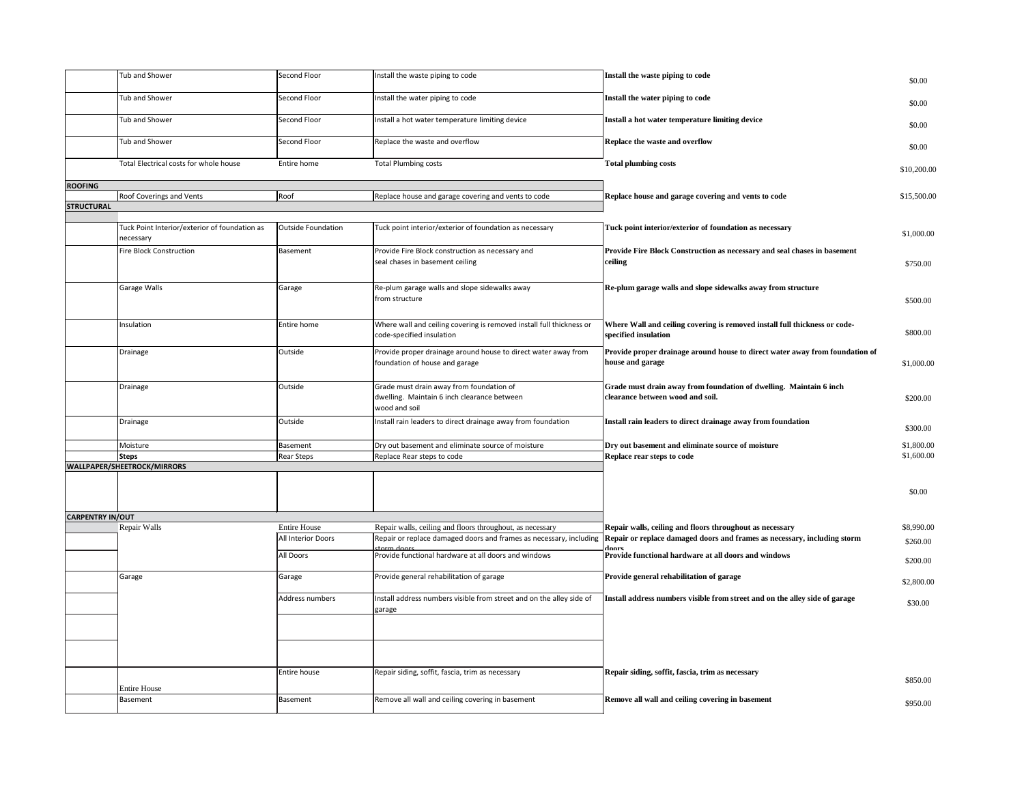|                         | <b>Tub and Shower</b>                                      | Second Floor              | Install the waste piping to code                                                                  | Install the waste piping to code                                                                                                     | \$0.00      |
|-------------------------|------------------------------------------------------------|---------------------------|---------------------------------------------------------------------------------------------------|--------------------------------------------------------------------------------------------------------------------------------------|-------------|
|                         | <b>Tub and Shower</b>                                      | Second Floor              | Install the water piping to code                                                                  | Install the water piping to code                                                                                                     | \$0.00      |
|                         | Tub and Shower                                             | Second Floor              | Install a hot water temperature limiting device                                                   | Install a hot water temperature limiting device                                                                                      | \$0.00      |
|                         | <b>Tub and Shower</b>                                      | Second Floor              | Replace the waste and overflow                                                                    | Replace the waste and overflow                                                                                                       | \$0.00      |
|                         | Total Electrical costs for whole house                     | Entire home               | <b>Total Plumbing costs</b>                                                                       | <b>Total plumbing costs</b>                                                                                                          | \$10,200.00 |
| <b>ROOFING</b>          |                                                            |                           |                                                                                                   |                                                                                                                                      |             |
|                         | Roof Coverings and Vents                                   | Roof                      | Replace house and garage covering and vents to code                                               | Replace house and garage covering and vents to code                                                                                  | \$15,500.00 |
| <b>STRUCTURAL</b>       |                                                            |                           |                                                                                                   |                                                                                                                                      |             |
|                         |                                                            |                           |                                                                                                   |                                                                                                                                      |             |
|                         | Tuck Point Interior/exterior of foundation as<br>necessary | <b>Outside Foundation</b> | Tuck point interior/exterior of foundation as necessary                                           | Tuck point interior/exterior of foundation as necessary                                                                              | \$1,000.00  |
|                         | Fire Block Construction                                    | <b>Basement</b>           | Provide Fire Block construction as necessary and                                                  | Provide Fire Block Construction as necessary and seal chases in basement                                                             |             |
|                         |                                                            |                           | seal chases in basement ceiling                                                                   | ceiling                                                                                                                              | \$750.00    |
|                         | <b>Garage Walls</b>                                        | Garage                    | Re-plum garage walls and slope sidewalks away                                                     | Re-plum garage walls and slope sidewalks away from structure                                                                         |             |
|                         |                                                            |                           | from structure                                                                                    |                                                                                                                                      | \$500.00    |
|                         |                                                            |                           |                                                                                                   |                                                                                                                                      |             |
|                         | Insulation                                                 | Entire home               | Where wall and ceiling covering is removed install full thickness or<br>code-specified insulation | Where Wall and ceiling covering is removed install full thickness or code-<br>specified insulation                                   | \$800.00    |
|                         | Drainage                                                   | Outside                   | Provide proper drainage around house to direct water away from                                    | Provide proper drainage around house to direct water away from foundation of                                                         |             |
|                         |                                                            |                           | foundation of house and garage                                                                    | house and garage                                                                                                                     | \$1,000.00  |
|                         |                                                            | Outside                   | Grade must drain away from foundation of                                                          | Grade must drain away from foundation of dwelling. Maintain 6 inch                                                                   |             |
|                         | Drainage                                                   |                           | dwelling. Maintain 6 inch clearance between                                                       | clearance between wood and soil.                                                                                                     |             |
|                         |                                                            |                           | wood and soil                                                                                     |                                                                                                                                      | \$200.00    |
|                         |                                                            |                           |                                                                                                   |                                                                                                                                      |             |
|                         | Drainage                                                   | Outside                   | Install rain leaders to direct drainage away from foundation                                      | Install rain leaders to direct drainage away from foundation                                                                         | \$300.00    |
|                         | Moisture                                                   | <b>Basement</b>           | Dry out basement and eliminate source of moisture                                                 | Dry out basement and eliminate source of moisture                                                                                    | \$1,800.00  |
|                         | <b>Steps</b>                                               | <b>Rear Steps</b>         | Replace Rear steps to code                                                                        | Replace rear steps to code                                                                                                           | \$1,600.00  |
|                         | <b>WALLPAPER/SHEETROCK/MIRRORS</b>                         |                           |                                                                                                   |                                                                                                                                      |             |
|                         |                                                            |                           |                                                                                                   |                                                                                                                                      | \$0.00      |
|                         |                                                            |                           |                                                                                                   |                                                                                                                                      |             |
| <b>CARPENTRY IN/OUT</b> | Repair Walls                                               | <b>Entire House</b>       | Repair walls, ceiling and floors throughout, as necessary                                         |                                                                                                                                      | \$8,990.00  |
|                         |                                                            | All Interior Doors        | Repair or replace damaged doors and frames as necessary, including                                | Repair walls, ceiling and floors throughout as necessary<br>Repair or replace damaged doors and frames as necessary, including storm |             |
|                         |                                                            |                           | storm doors                                                                                       | daars                                                                                                                                | \$260.00    |
|                         |                                                            | All Doors                 | Provide functional hardware at all doors and windows                                              | Provide functional hardware at all doors and windows                                                                                 | \$200.00    |
|                         | Garage                                                     | Garage                    | Provide general rehabilitation of garage                                                          | Provide general rehabilitation of garage                                                                                             | \$2,800.00  |
|                         |                                                            | Address numbers           | Install address numbers visible from street and on the alley side of                              | Install address numbers visible from street and on the alley side of garage                                                          |             |
|                         |                                                            |                           | garage                                                                                            |                                                                                                                                      | \$30.00     |
|                         |                                                            |                           |                                                                                                   |                                                                                                                                      |             |
|                         |                                                            |                           |                                                                                                   |                                                                                                                                      |             |
|                         |                                                            |                           |                                                                                                   |                                                                                                                                      |             |
|                         |                                                            |                           |                                                                                                   |                                                                                                                                      |             |
|                         |                                                            | Entire house              | Repair siding, soffit, fascia, trim as necessary                                                  | Repair siding, soffit, fascia, trim as necessary                                                                                     |             |
|                         | <b>Entire House</b>                                        |                           |                                                                                                   |                                                                                                                                      | \$850.00    |
|                         | Basement                                                   | Basement                  | Remove all wall and ceiling covering in basement                                                  | Remove all wall and ceiling covering in basement                                                                                     | \$950.00    |
|                         |                                                            |                           |                                                                                                   |                                                                                                                                      |             |

| s necessary    | \$850.00 |
|----------------|----------|
| ng in basement | \$950.00 |